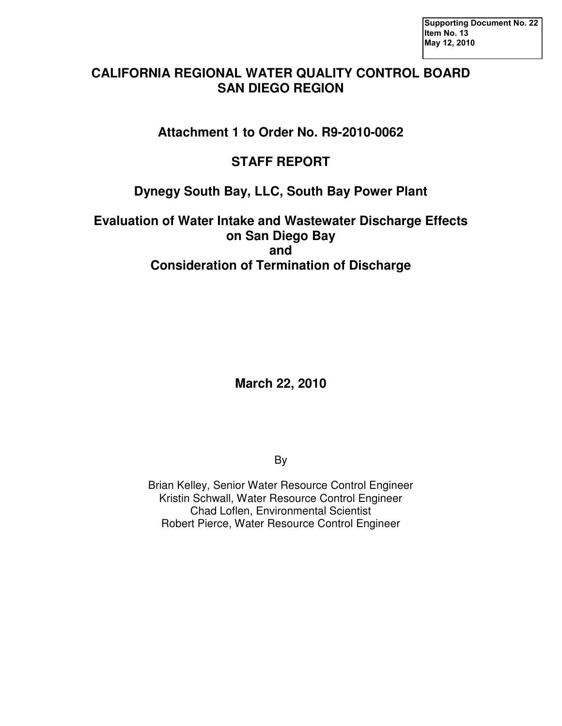### **CALIFORNIA REGIONAL WATER QUALITY CONTROL BOARD SAN DIEGO REGION**

**Attachment 1 to Order No. R9-2010-0062** 

## **STAFF REPORT**

## **Dynegy South Bay, LLC, South Bay Power Plant**

**Evaluation of Water Intake and Wastewater Discharge Effects on San Diego Bay and Consideration of Termination of Discharge** 

**March 22, 2010** 

By

Brian Kelley, Senior Water Resource Control Engineer Kristin Schwall, Water Resource Control Engineer Chad Loflen, Environmental Scientist Robert Pierce, Water Resource Control Engineer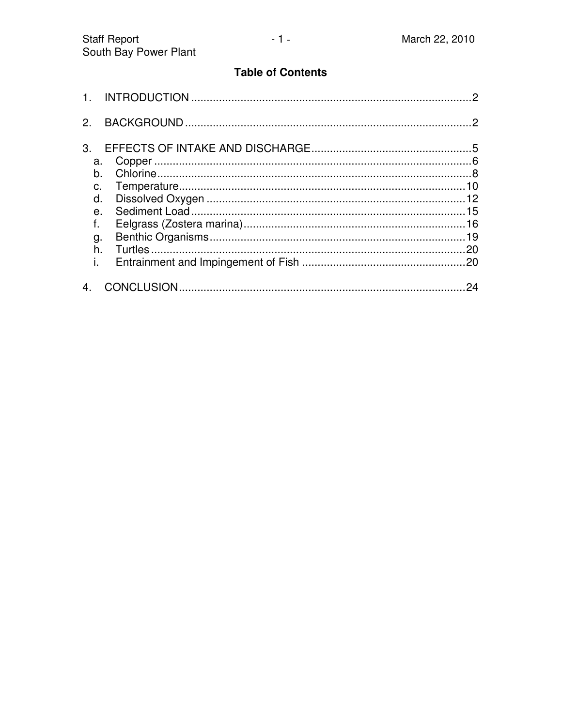#### **Table of Contents**

| 2 <sup>1</sup> |     |
|----------------|-----|
| 3 <sub>1</sub> |     |
| a.             |     |
|                |     |
|                |     |
| d.             |     |
| $\theta$ .     |     |
| f.             |     |
| g.             |     |
| $h_{-}$        |     |
| i.             |     |
|                | .24 |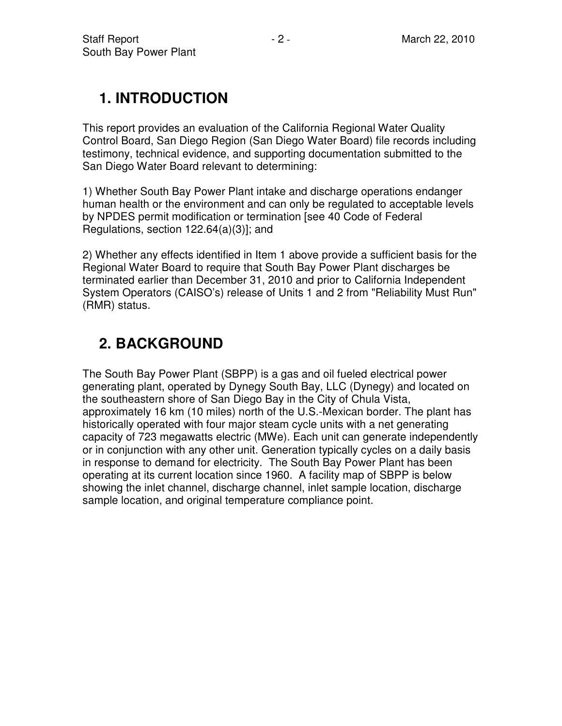# **1. INTRODUCTION**

This report provides an evaluation of the California Regional Water Quality Control Board, San Diego Region (San Diego Water Board) file records including testimony, technical evidence, and supporting documentation submitted to the San Diego Water Board relevant to determining:

1) Whether South Bay Power Plant intake and discharge operations endanger human health or the environment and can only be regulated to acceptable levels by NPDES permit modification or termination [see 40 Code of Federal Regulations, section 122.64(a)(3)]; and

2) Whether any effects identified in Item 1 above provide a sufficient basis for the Regional Water Board to require that South Bay Power Plant discharges be terminated earlier than December 31, 2010 and prior to California Independent System Operators (CAISO's) release of Units 1 and 2 from "Reliability Must Run" (RMR) status.

# **2. BACKGROUND**

The South Bay Power Plant (SBPP) is a gas and oil fueled electrical power generating plant, operated by Dynegy South Bay, LLC (Dynegy) and located on the southeastern shore of San Diego Bay in the City of Chula Vista, approximately 16 km (10 miles) north of the U.S.-Mexican border. The plant has historically operated with four major steam cycle units with a net generating capacity of 723 megawatts electric (MWe). Each unit can generate independently or in conjunction with any other unit. Generation typically cycles on a daily basis in response to demand for electricity. The South Bay Power Plant has been operating at its current location since 1960. A facility map of SBPP is below showing the inlet channel, discharge channel, inlet sample location, discharge sample location, and original temperature compliance point.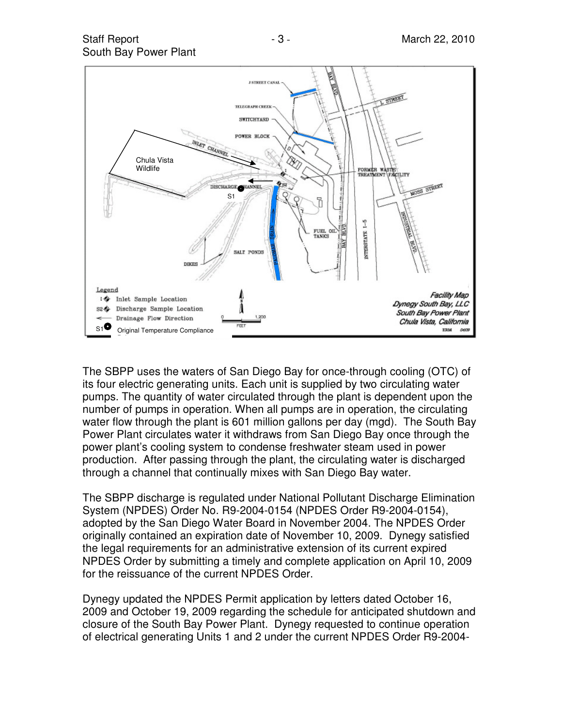



The SBPP uses the waters of San Diego Bay for once-through cooling (OTC) of its four electric generating units. Each unit is supplied by two circulating water pumps. The quantity of water circulated through the plant is dependent upon the number of pumps in operation. When all pumps are in operation, the circulating water flow through the plant is 601 million gallons per day (mgd). The South Bay Power Plant circulates water it withdraws from San Diego Bay once through the power plant's cooling system to condense freshwater steam used in power production. After passing through the plant, the circulating water is discharged through a channel that continually mixes with San Diego Bay water.

The SBPP discharge is regulated under National Pollutant Discharge Elimination System (NPDES) Order No. R9-2004-0154 (NPDES Order R9-2004-0154), adopted by the San Diego Water Board in November 2004. The NPDES Order originally contained an expiration date of November 10, 2009. Dynegy satisfied the legal requirements for an administrative extension of its current expired NPDES Order by submitting a timely and complete application on April 10, 2009 for the reissuance of the current NPDES Order.

Dynegy updated the NPDES Permit application by letters dated October 16, 2009 and October 19, 2009 regarding the schedule for anticipated shutdown and closure of the South Bay Power Plant. Dynegy requested to continue operation of electrical generating Units 1 and 2 under the current NPDES Order R9-2004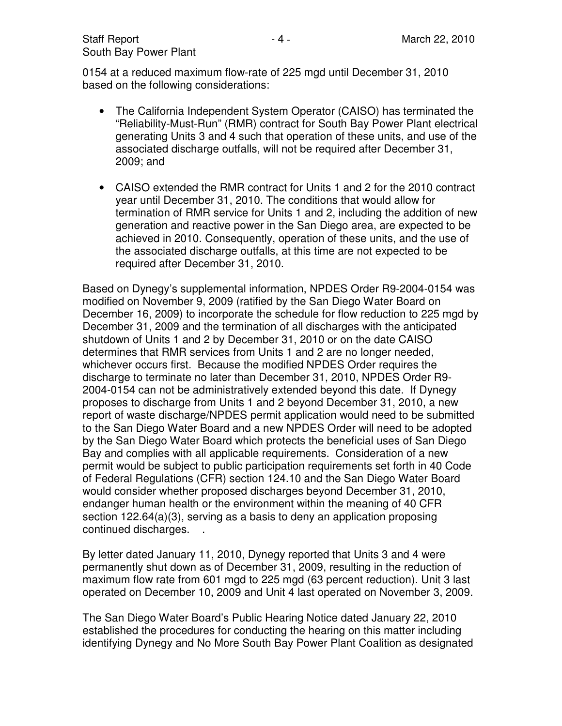0154 at a reduced maximum flow-rate of 225 mgd until December 31, 2010 based on the following considerations:

- The California Independent System Operator (CAISO) has terminated the "Reliability-Must-Run" (RMR) contract for South Bay Power Plant electrical generating Units 3 and 4 such that operation of these units, and use of the associated discharge outfalls, will not be required after December 31, 2009; and
- CAISO extended the RMR contract for Units 1 and 2 for the 2010 contract year until December 31, 2010. The conditions that would allow for termination of RMR service for Units 1 and 2, including the addition of new generation and reactive power in the San Diego area, are expected to be achieved in 2010. Consequently, operation of these units, and the use of the associated discharge outfalls, at this time are not expected to be required after December 31, 2010.

Based on Dynegy's supplemental information, NPDES Order R9-2004-0154 was modified on November 9, 2009 (ratified by the San Diego Water Board on December 16, 2009) to incorporate the schedule for flow reduction to 225 mgd by December 31, 2009 and the termination of all discharges with the anticipated shutdown of Units 1 and 2 by December 31, 2010 or on the date CAISO determines that RMR services from Units 1 and 2 are no longer needed, whichever occurs first. Because the modified NPDES Order requires the discharge to terminate no later than December 31, 2010, NPDES Order R9- 2004-0154 can not be administratively extended beyond this date. If Dynegy proposes to discharge from Units 1 and 2 beyond December 31, 2010, a new report of waste discharge/NPDES permit application would need to be submitted to the San Diego Water Board and a new NPDES Order will need to be adopted by the San Diego Water Board which protects the beneficial uses of San Diego Bay and complies with all applicable requirements. Consideration of a new permit would be subject to public participation requirements set forth in 40 Code of Federal Regulations (CFR) section 124.10 and the San Diego Water Board would consider whether proposed discharges beyond December 31, 2010, endanger human health or the environment within the meaning of 40 CFR section 122.64(a)(3), serving as a basis to deny an application proposing continued discharges. .

By letter dated January 11, 2010, Dynegy reported that Units 3 and 4 were permanently shut down as of December 31, 2009, resulting in the reduction of maximum flow rate from 601 mgd to 225 mgd (63 percent reduction). Unit 3 last operated on December 10, 2009 and Unit 4 last operated on November 3, 2009.

The San Diego Water Board's Public Hearing Notice dated January 22, 2010 established the procedures for conducting the hearing on this matter including identifying Dynegy and No More South Bay Power Plant Coalition as designated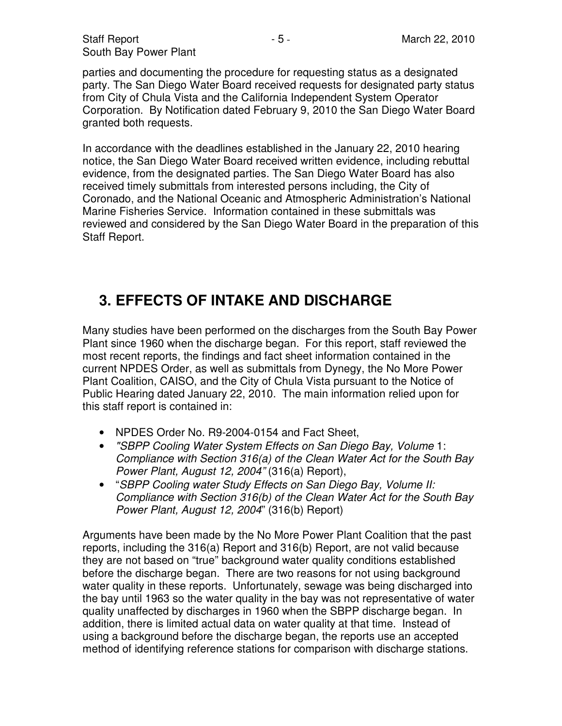parties and documenting the procedure for requesting status as a designated party. The San Diego Water Board received requests for designated party status from City of Chula Vista and the California Independent System Operator Corporation. By Notification dated February 9, 2010 the San Diego Water Board granted both requests.

In accordance with the deadlines established in the January 22, 2010 hearing notice, the San Diego Water Board received written evidence, including rebuttal evidence, from the designated parties. The San Diego Water Board has also received timely submittals from interested persons including, the City of Coronado, and the National Oceanic and Atmospheric Administration's National Marine Fisheries Service. Information contained in these submittals was reviewed and considered by the San Diego Water Board in the preparation of this Staff Report.

# **3. EFFECTS OF INTAKE AND DISCHARGE**

Many studies have been performed on the discharges from the South Bay Power Plant since 1960 when the discharge began. For this report, staff reviewed the most recent reports, the findings and fact sheet information contained in the current NPDES Order, as well as submittals from Dynegy, the No More Power Plant Coalition, CAISO, and the City of Chula Vista pursuant to the Notice of Public Hearing dated January 22, 2010. The main information relied upon for this staff report is contained in:

- NPDES Order No. R9-2004-0154 and Fact Sheet,
- "SBPP Cooling Water System Effects on San Diego Bay, Volume 1: Compliance with Section 316(a) of the Clean Water Act for the South Bay Power Plant, August 12, 2004" (316(a) Report),
- "SBPP Cooling water Study Effects on San Diego Bay, Volume II: Compliance with Section 316(b) of the Clean Water Act for the South Bay Power Plant, August 12, 2004" (316(b) Report)

Arguments have been made by the No More Power Plant Coalition that the past reports, including the 316(a) Report and 316(b) Report, are not valid because they are not based on "true" background water quality conditions established before the discharge began. There are two reasons for not using background water quality in these reports. Unfortunately, sewage was being discharged into the bay until 1963 so the water quality in the bay was not representative of water quality unaffected by discharges in 1960 when the SBPP discharge began. In addition, there is limited actual data on water quality at that time. Instead of using a background before the discharge began, the reports use an accepted method of identifying reference stations for comparison with discharge stations.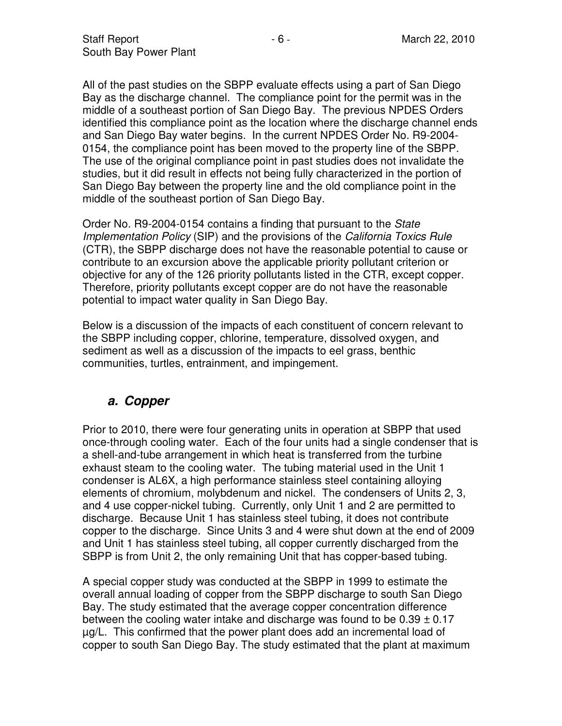All of the past studies on the SBPP evaluate effects using a part of San Diego Bay as the discharge channel. The compliance point for the permit was in the middle of a southeast portion of San Diego Bay. The previous NPDES Orders identified this compliance point as the location where the discharge channel ends and San Diego Bay water begins. In the current NPDES Order No. R9-2004- 0154, the compliance point has been moved to the property line of the SBPP. The use of the original compliance point in past studies does not invalidate the studies, but it did result in effects not being fully characterized in the portion of San Diego Bay between the property line and the old compliance point in the middle of the southeast portion of San Diego Bay.

Order No. R9-2004-0154 contains a finding that pursuant to the State Implementation Policy (SIP) and the provisions of the California Toxics Rule (CTR), the SBPP discharge does not have the reasonable potential to cause or contribute to an excursion above the applicable priority pollutant criterion or objective for any of the 126 priority pollutants listed in the CTR, except copper. Therefore, priority pollutants except copper are do not have the reasonable potential to impact water quality in San Diego Bay.

Below is a discussion of the impacts of each constituent of concern relevant to the SBPP including copper, chlorine, temperature, dissolved oxygen, and sediment as well as a discussion of the impacts to eel grass, benthic communities, turtles, entrainment, and impingement.

### **a. Copper**

Prior to 2010, there were four generating units in operation at SBPP that used once-through cooling water. Each of the four units had a single condenser that is a shell-and-tube arrangement in which heat is transferred from the turbine exhaust steam to the cooling water. The tubing material used in the Unit 1 condenser is AL6X, a high performance stainless steel containing alloying elements of chromium, molybdenum and nickel. The condensers of Units 2, 3, and 4 use copper-nickel tubing. Currently, only Unit 1 and 2 are permitted to discharge. Because Unit 1 has stainless steel tubing, it does not contribute copper to the discharge. Since Units 3 and 4 were shut down at the end of 2009 and Unit 1 has stainless steel tubing, all copper currently discharged from the SBPP is from Unit 2, the only remaining Unit that has copper-based tubing.

A special copper study was conducted at the SBPP in 1999 to estimate the overall annual loading of copper from the SBPP discharge to south San Diego Bay. The study estimated that the average copper concentration difference between the cooling water intake and discharge was found to be  $0.39 \pm 0.17$ µg/L. This confirmed that the power plant does add an incremental load of copper to south San Diego Bay. The study estimated that the plant at maximum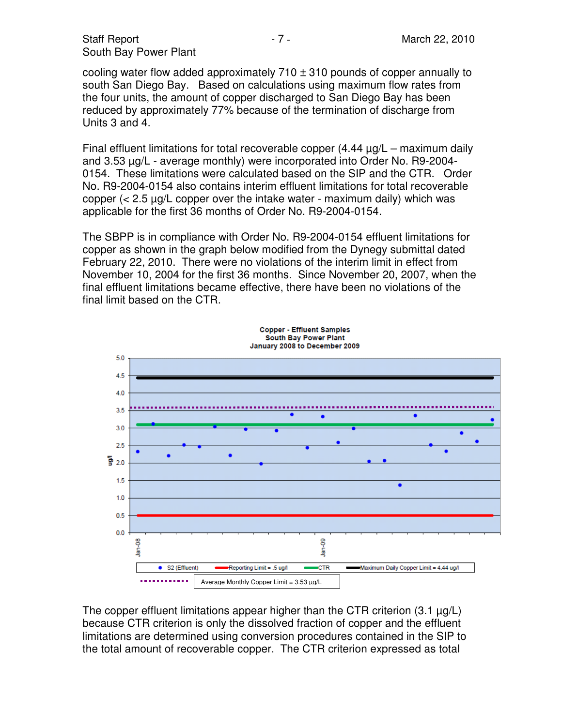cooling water flow added approximately  $710 \pm 310$  pounds of copper annually to south San Diego Bay. Based on calculations using maximum flow rates from the four units, the amount of copper discharged to San Diego Bay has been reduced by approximately 77% because of the termination of discharge from Units 3 and 4.

Final effluent limitations for total recoverable copper (4.44 µg/L – maximum daily and 3.53 µg/L - average monthly) were incorporated into Order No. R9-2004- 0154. These limitations were calculated based on the SIP and the CTR. Order No. R9-2004-0154 also contains interim effluent limitations for total recoverable copper  $\langle$  2.5  $\mu$ g/L copper over the intake water - maximum daily) which was applicable for the first 36 months of Order No. R9-2004-0154.

The SBPP is in compliance with Order No. R9-2004-0154 effluent limitations for copper as shown in the graph below modified from the Dynegy submittal dated February 22, 2010. There were no violations of the interim limit in effect from November 10, 2004 for the first 36 months. Since November 20, 2007, when the final effluent limitations became effective, there have been no violations of the final limit based on the CTR.



The copper effluent limitations appear higher than the CTR criterion  $(3.1 \mu q/L)$ because CTR criterion is only the dissolved fraction of copper and the effluent limitations are determined using conversion procedures contained in the SIP to the total amount of recoverable copper. The CTR criterion expressed as total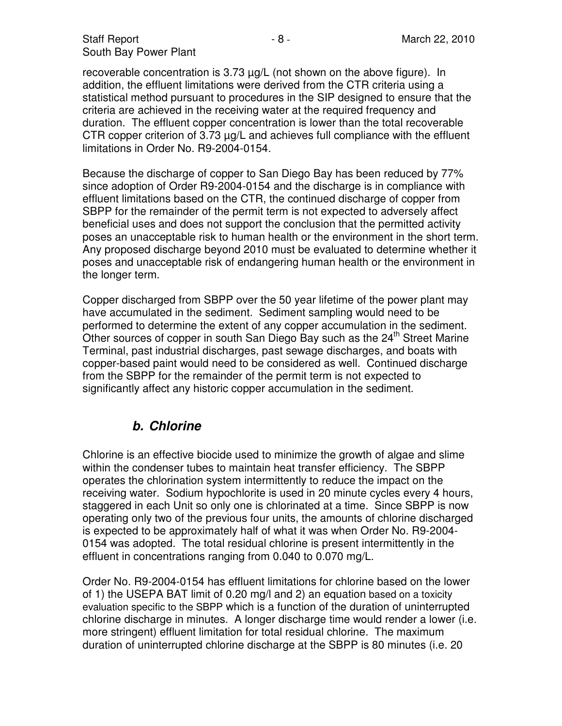recoverable concentration is 3.73 µg/L (not shown on the above figure). In addition, the effluent limitations were derived from the CTR criteria using a statistical method pursuant to procedures in the SIP designed to ensure that the criteria are achieved in the receiving water at the required frequency and duration. The effluent copper concentration is lower than the total recoverable CTR copper criterion of 3.73 µg/L and achieves full compliance with the effluent limitations in Order No. R9-2004-0154.

Because the discharge of copper to San Diego Bay has been reduced by 77% since adoption of Order R9-2004-0154 and the discharge is in compliance with effluent limitations based on the CTR, the continued discharge of copper from SBPP for the remainder of the permit term is not expected to adversely affect beneficial uses and does not support the conclusion that the permitted activity poses an unacceptable risk to human health or the environment in the short term. Any proposed discharge beyond 2010 must be evaluated to determine whether it poses and unacceptable risk of endangering human health or the environment in the longer term.

Copper discharged from SBPP over the 50 year lifetime of the power plant may have accumulated in the sediment. Sediment sampling would need to be performed to determine the extent of any copper accumulation in the sediment. Other sources of copper in south San Diego Bay such as the 24<sup>th</sup> Street Marine Terminal, past industrial discharges, past sewage discharges, and boats with copper-based paint would need to be considered as well. Continued discharge from the SBPP for the remainder of the permit term is not expected to significantly affect any historic copper accumulation in the sediment.

### **b. Chlorine**

Chlorine is an effective biocide used to minimize the growth of algae and slime within the condenser tubes to maintain heat transfer efficiency. The SBPP operates the chlorination system intermittently to reduce the impact on the receiving water. Sodium hypochlorite is used in 20 minute cycles every 4 hours, staggered in each Unit so only one is chlorinated at a time. Since SBPP is now operating only two of the previous four units, the amounts of chlorine discharged is expected to be approximately half of what it was when Order No. R9-2004- 0154 was adopted. The total residual chlorine is present intermittently in the effluent in concentrations ranging from 0.040 to 0.070 mg/L.

Order No. R9-2004-0154 has effluent limitations for chlorine based on the lower of 1) the USEPA BAT limit of 0.20 mg/l and 2) an equation based on a toxicity evaluation specific to the SBPP which is a function of the duration of uninterrupted chlorine discharge in minutes. A longer discharge time would render a lower (i.e. more stringent) effluent limitation for total residual chlorine. The maximum duration of uninterrupted chlorine discharge at the SBPP is 80 minutes (i.e. 20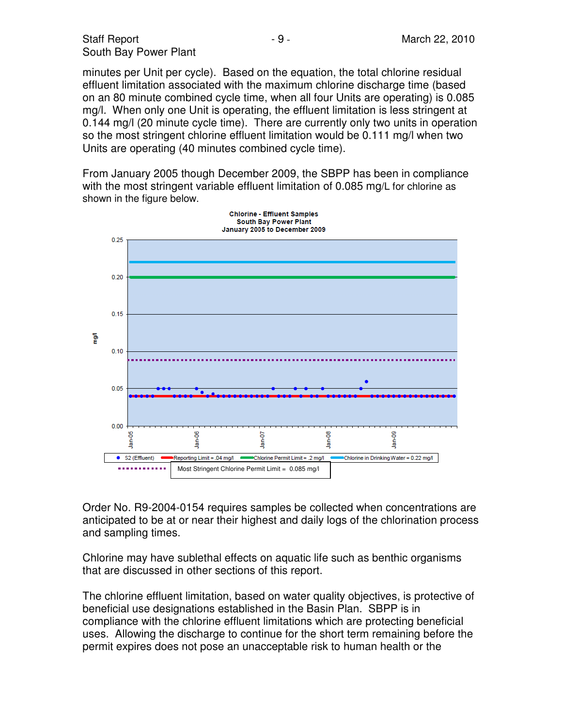minutes per Unit per cycle). Based on the equation, the total chlorine residual effluent limitation associated with the maximum chlorine discharge time (based on an 80 minute combined cycle time, when all four Units are operating) is 0.085 mg/l. When only one Unit is operating, the effluent limitation is less stringent at 0.144 mg/l (20 minute cycle time). There are currently only two units in operation so the most stringent chlorine effluent limitation would be 0.111 mg/l when two Units are operating (40 minutes combined cycle time).

From January 2005 though December 2009, the SBPP has been in compliance with the most stringent variable effluent limitation of 0.085 mg/L for chlorine as shown in the figure below.



Order No. R9-2004-0154 requires samples be collected when concentrations are anticipated to be at or near their highest and daily logs of the chlorination process and sampling times.

Chlorine may have sublethal effects on aquatic life such as benthic organisms that are discussed in other sections of this report.

The chlorine effluent limitation, based on water quality objectives, is protective of beneficial use designations established in the Basin Plan. SBPP is in compliance with the chlorine effluent limitations which are protecting beneficial uses. Allowing the discharge to continue for the short term remaining before the permit expires does not pose an unacceptable risk to human health or the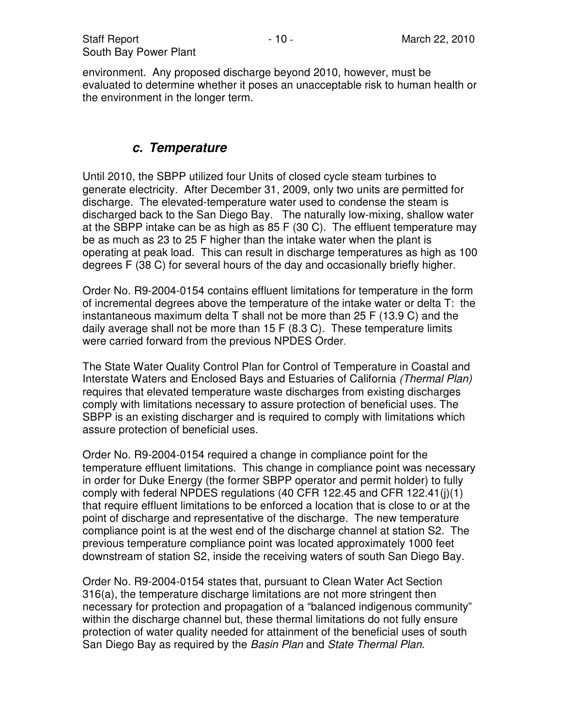environment. Any proposed discharge beyond 2010, however, must be evaluated to determine whether it poses an unacceptable risk to human health or the environment in the longer term.

#### **c. Temperature**

Until 2010, the SBPP utilized four Units of closed cycle steam turbines to generate electricity. After December 31, 2009, only two units are permitted for discharge. The elevated-temperature water used to condense the steam is discharged back to the San Diego Bay. The naturally low-mixing, shallow water at the SBPP intake can be as high as 85 F (30 C). The effluent temperature may be as much as 23 to 25 F higher than the intake water when the plant is operating at peak load. This can result in discharge temperatures as high as 100 degrees F (38 C) for several hours of the day and occasionally briefly higher.

Order No. R9-2004-0154 contains effluent limitations for temperature in the form of incremental degrees above the temperature of the intake water or delta T: the instantaneous maximum delta T shall not be more than 25 F (13.9 C) and the daily average shall not be more than 15 F (8.3 C). These temperature limits were carried forward from the previous NPDES Order.

The State Water Quality Control Plan for Control of Temperature in Coastal and Interstate Waters and Enclosed Bays and Estuaries of California (Thermal Plan) requires that elevated temperature waste discharges from existing discharges comply with limitations necessary to assure protection of beneficial uses. The SBPP is an existing discharger and is required to comply with limitations which assure protection of beneficial uses.

Order No. R9-2004-0154 required a change in compliance point for the temperature effluent limitations. This change in compliance point was necessary in order for Duke Energy (the former SBPP operator and permit holder) to fully comply with federal NPDES regulations (40 CFR 122.45 and CFR 122.41(j)(1) that require effluent limitations to be enforced a location that is close to or at the point of discharge and representative of the discharge. The new temperature compliance point is at the west end of the discharge channel at station S2. The previous temperature compliance point was located approximately 1000 feet downstream of station S2, inside the receiving waters of south San Diego Bay.

Order No. R9-2004-0154 states that, pursuant to Clean Water Act Section 316(a), the temperature discharge limitations are not more stringent then necessary for protection and propagation of a "balanced indigenous community" within the discharge channel but, these thermal limitations do not fully ensure protection of water quality needed for attainment of the beneficial uses of south San Diego Bay as required by the Basin Plan and State Thermal Plan.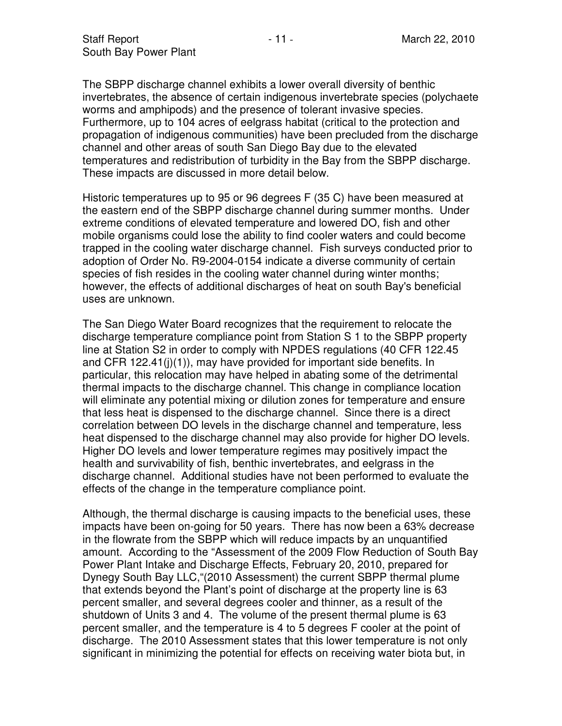The SBPP discharge channel exhibits a lower overall diversity of benthic invertebrates, the absence of certain indigenous invertebrate species (polychaete worms and amphipods) and the presence of tolerant invasive species. Furthermore, up to 104 acres of eelgrass habitat (critical to the protection and propagation of indigenous communities) have been precluded from the discharge channel and other areas of south San Diego Bay due to the elevated temperatures and redistribution of turbidity in the Bay from the SBPP discharge. These impacts are discussed in more detail below.

Historic temperatures up to 95 or 96 degrees F (35 C) have been measured at the eastern end of the SBPP discharge channel during summer months. Under extreme conditions of elevated temperature and lowered DO, fish and other mobile organisms could lose the ability to find cooler waters and could become trapped in the cooling water discharge channel. Fish surveys conducted prior to adoption of Order No. R9-2004-0154 indicate a diverse community of certain species of fish resides in the cooling water channel during winter months; however, the effects of additional discharges of heat on south Bay's beneficial uses are unknown.

The San Diego Water Board recognizes that the requirement to relocate the discharge temperature compliance point from Station S 1 to the SBPP property line at Station S2 in order to comply with NPDES regulations (40 CFR 122.45 and CFR 122.41(j)(1)), may have provided for important side benefits. In particular, this relocation may have helped in abating some of the detrimental thermal impacts to the discharge channel. This change in compliance location will eliminate any potential mixing or dilution zones for temperature and ensure that less heat is dispensed to the discharge channel. Since there is a direct correlation between DO levels in the discharge channel and temperature, less heat dispensed to the discharge channel may also provide for higher DO levels. Higher DO levels and lower temperature regimes may positively impact the health and survivability of fish, benthic invertebrates, and eelgrass in the discharge channel. Additional studies have not been performed to evaluate the effects of the change in the temperature compliance point.

Although, the thermal discharge is causing impacts to the beneficial uses, these impacts have been on-going for 50 years. There has now been a 63% decrease in the flowrate from the SBPP which will reduce impacts by an unquantified amount. According to the "Assessment of the 2009 Flow Reduction of South Bay Power Plant Intake and Discharge Effects, February 20, 2010, prepared for Dynegy South Bay LLC,"(2010 Assessment) the current SBPP thermal plume that extends beyond the Plant's point of discharge at the property line is 63 percent smaller, and several degrees cooler and thinner, as a result of the shutdown of Units 3 and 4. The volume of the present thermal plume is 63 percent smaller, and the temperature is 4 to 5 degrees F cooler at the point of discharge. The 2010 Assessment states that this lower temperature is not only significant in minimizing the potential for effects on receiving water biota but, in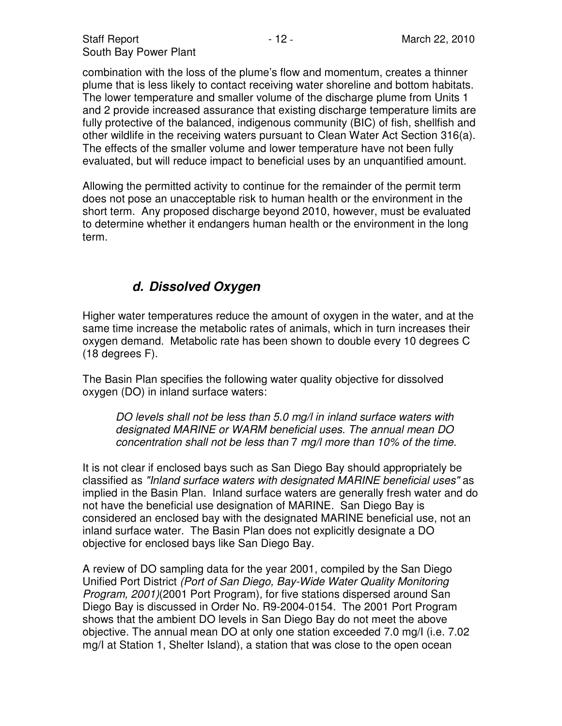combination with the loss of the plume's flow and momentum, creates a thinner plume that is less likely to contact receiving water shoreline and bottom habitats. The lower temperature and smaller volume of the discharge plume from Units 1 and 2 provide increased assurance that existing discharge temperature limits are fully protective of the balanced, indigenous community (BIC) of fish, shellfish and other wildlife in the receiving waters pursuant to Clean Water Act Section 316(a). The effects of the smaller volume and lower temperature have not been fully evaluated, but will reduce impact to beneficial uses by an unquantified amount.

Allowing the permitted activity to continue for the remainder of the permit term does not pose an unacceptable risk to human health or the environment in the short term. Any proposed discharge beyond 2010, however, must be evaluated to determine whether it endangers human health or the environment in the long term.

### **d. Dissolved Oxygen**

Higher water temperatures reduce the amount of oxygen in the water, and at the same time increase the metabolic rates of animals, which in turn increases their oxygen demand. Metabolic rate has been shown to double every 10 degrees C (18 degrees F).

The Basin Plan specifies the following water quality objective for dissolved oxygen (DO) in inland surface waters:

DO levels shall not be less than 5.0 mg/l in inland surface waters with designated MARINE or WARM beneficial uses. The annual mean DO concentration shall not be less than 7 mg/l more than 10% of the time.

It is not clear if enclosed bays such as San Diego Bay should appropriately be classified as "Inland surface waters with designated MARINE beneficial uses" as implied in the Basin Plan. Inland surface waters are generally fresh water and do not have the beneficial use designation of MARINE. San Diego Bay is considered an enclosed bay with the designated MARINE beneficial use, not an inland surface water. The Basin Plan does not explicitly designate a DO objective for enclosed bays like San Diego Bay.

A review of DO sampling data for the year 2001, compiled by the San Diego Unified Port District (Port of San Diego, Bay-Wide Water Quality Monitoring Program, 2001)(2001 Port Program), for five stations dispersed around San Diego Bay is discussed in Order No. R9-2004-0154. The 2001 Port Program shows that the ambient DO levels in San Diego Bay do not meet the above objective. The annual mean DO at only one station exceeded 7.0 mg/I (i.e. 7.02 mg/I at Station 1, Shelter Island), a station that was close to the open ocean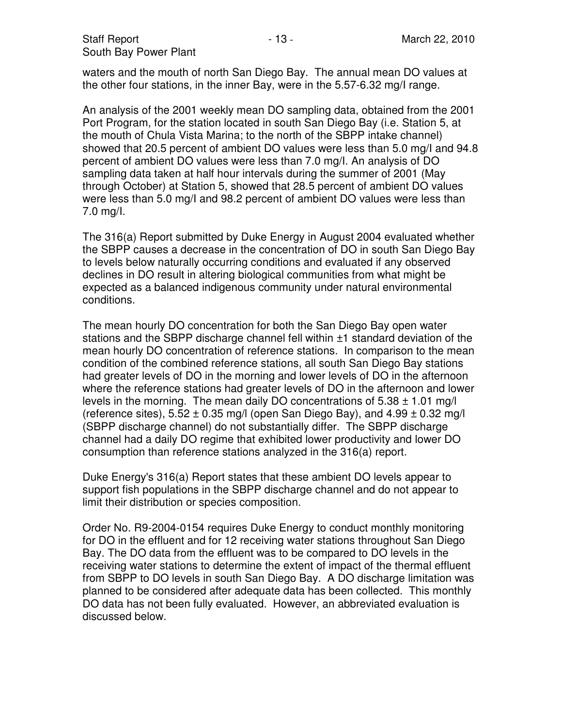waters and the mouth of north San Diego Bay. The annual mean DO values at the other four stations, in the inner Bay, were in the 5.57-6.32 mg/I range.

An analysis of the 2001 weekly mean DO sampling data, obtained from the 2001 Port Program, for the station located in south San Diego Bay (i.e. Station 5, at the mouth of Chula Vista Marina; to the north of the SBPP intake channel) showed that 20.5 percent of ambient DO values were less than 5.0 mg/I and 94.8 percent of ambient DO values were less than 7.0 mg/I. An analysis of DO sampling data taken at half hour intervals during the summer of 2001 (May through October) at Station 5, showed that 28.5 percent of ambient DO values were less than 5.0 mg/I and 98.2 percent of ambient DO values were less than 7.0 mg/I.

The 316(a) Report submitted by Duke Energy in August 2004 evaluated whether the SBPP causes a decrease in the concentration of DO in south San Diego Bay to levels below naturally occurring conditions and evaluated if any observed declines in DO result in altering biological communities from what might be expected as a balanced indigenous community under natural environmental conditions.

The mean hourly DO concentration for both the San Diego Bay open water stations and the SBPP discharge channel fell within ±1 standard deviation of the mean hourly DO concentration of reference stations. In comparison to the mean condition of the combined reference stations, all south San Diego Bay stations had greater levels of DO in the morning and lower levels of DO in the afternoon where the reference stations had greater levels of DO in the afternoon and lower levels in the morning. The mean daily DO concentrations of  $5.38 \pm 1.01$  mg/l (reference sites),  $5.52 \pm 0.35$  mg/l (open San Diego Bay), and  $4.99 \pm 0.32$  mg/l (SBPP discharge channel) do not substantially differ. The SBPP discharge channel had a daily DO regime that exhibited lower productivity and lower DO consumption than reference stations analyzed in the 316(a) report.

Duke Energy's 316(a) Report states that these ambient DO levels appear to support fish populations in the SBPP discharge channel and do not appear to limit their distribution or species composition.

Order No. R9-2004-0154 requires Duke Energy to conduct monthly monitoring for DO in the effluent and for 12 receiving water stations throughout San Diego Bay. The DO data from the effluent was to be compared to DO levels in the receiving water stations to determine the extent of impact of the thermal effluent from SBPP to DO levels in south San Diego Bay. A DO discharge limitation was planned to be considered after adequate data has been collected. This monthly DO data has not been fully evaluated. However, an abbreviated evaluation is discussed below.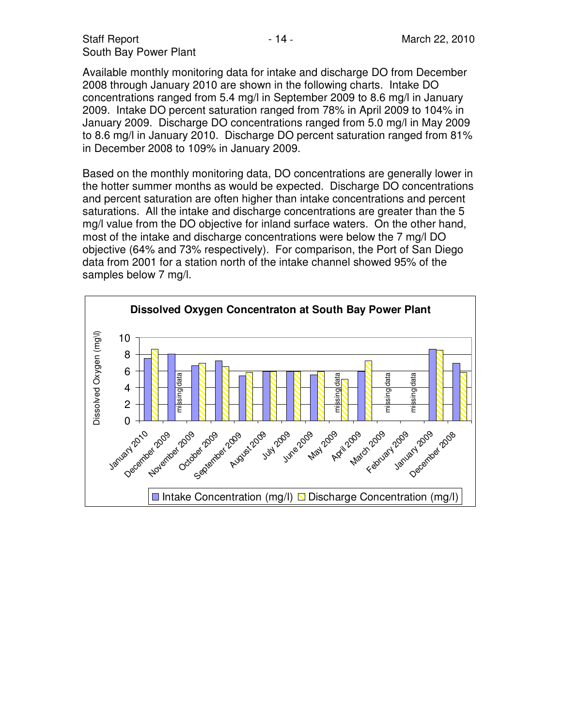Available monthly monitoring data for intake and discharge DO from December 2008 through January 2010 are shown in the following charts. Intake DO concentrations ranged from 5.4 mg/l in September 2009 to 8.6 mg/l in January 2009. Intake DO percent saturation ranged from 78% in April 2009 to 104% in January 2009. Discharge DO concentrations ranged from 5.0 mg/l in May 2009 to 8.6 mg/l in January 2010. Discharge DO percent saturation ranged from 81% in December 2008 to 109% in January 2009.

Based on the monthly monitoring data, DO concentrations are generally lower in the hotter summer months as would be expected. Discharge DO concentrations and percent saturation are often higher than intake concentrations and percent saturations. All the intake and discharge concentrations are greater than the 5 mg/l value from the DO objective for inland surface waters. On the other hand, most of the intake and discharge concentrations were below the 7 mg/l DO objective (64% and 73% respectively). For comparison, the Port of San Diego data from 2001 for a station north of the intake channel showed 95% of the samples below 7 mg/l.

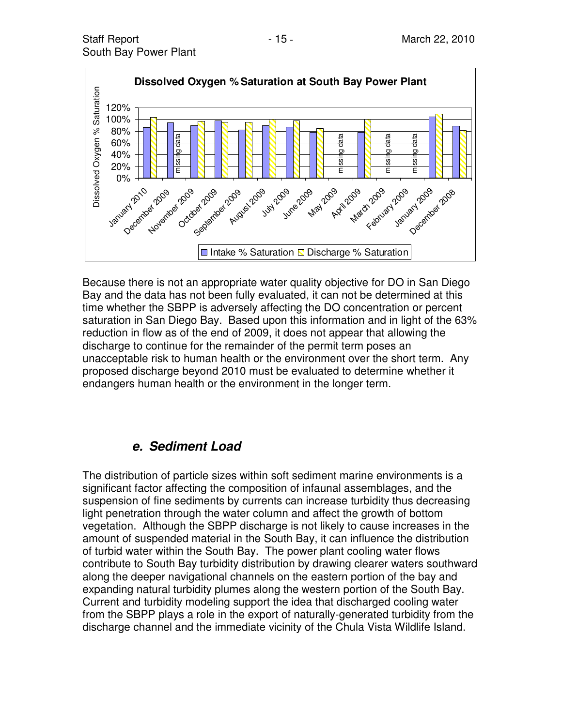

Because there is not an appropriate water quality objective for DO in San Diego Bay and the data has not been fully evaluated, it can not be determined at this time whether the SBPP is adversely affecting the DO concentration or percent saturation in San Diego Bay. Based upon this information and in light of the 63% reduction in flow as of the end of 2009, it does not appear that allowing the discharge to continue for the remainder of the permit term poses an unacceptable risk to human health or the environment over the short term. Any proposed discharge beyond 2010 must be evaluated to determine whether it endangers human health or the environment in the longer term.

### **e. Sediment Load**

The distribution of particle sizes within soft sediment marine environments is a significant factor affecting the composition of infaunal assemblages, and the suspension of fine sediments by currents can increase turbidity thus decreasing light penetration through the water column and affect the growth of bottom vegetation. Although the SBPP discharge is not likely to cause increases in the amount of suspended material in the South Bay, it can influence the distribution of turbid water within the South Bay. The power plant cooling water flows contribute to South Bay turbidity distribution by drawing clearer waters southward along the deeper navigational channels on the eastern portion of the bay and expanding natural turbidity plumes along the western portion of the South Bay. Current and turbidity modeling support the idea that discharged cooling water from the SBPP plays a role in the export of naturally-generated turbidity from the discharge channel and the immediate vicinity of the Chula Vista Wildlife Island.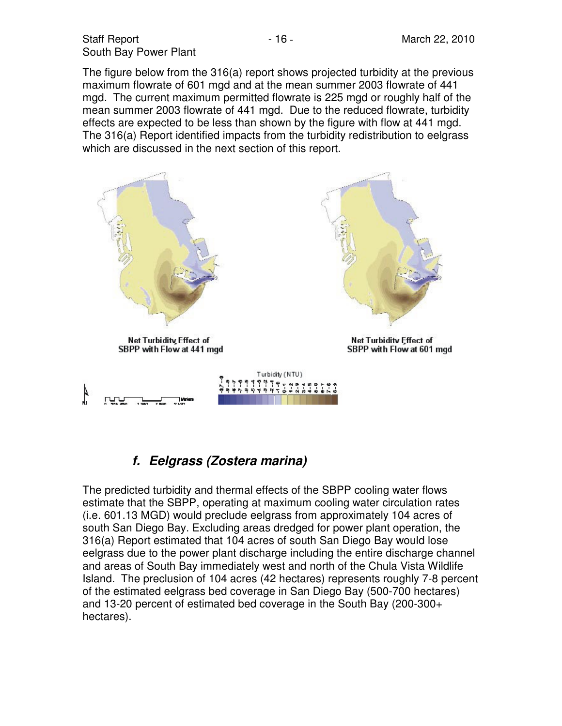The figure below from the 316(a) report shows projected turbidity at the previous maximum flowrate of 601 mgd and at the mean summer 2003 flowrate of 441 mgd. The current maximum permitted flowrate is 225 mgd or roughly half of the mean summer 2003 flowrate of 441 mgd. Due to the reduced flowrate, turbidity effects are expected to be less than shown by the figure with flow at 441 mgd. The 316(a) Report identified impacts from the turbidity redistribution to eelgrass which are discussed in the next section of this report.



## **f. Eelgrass (Zostera marina)**

The predicted turbidity and thermal effects of the SBPP cooling water flows estimate that the SBPP, operating at maximum cooling water circulation rates (i.e. 601.13 MGD) would preclude eelgrass from approximately 104 acres of south San Diego Bay. Excluding areas dredged for power plant operation, the 316(a) Report estimated that 104 acres of south San Diego Bay would lose eelgrass due to the power plant discharge including the entire discharge channel and areas of South Bay immediately west and north of the Chula Vista Wildlife Island. The preclusion of 104 acres (42 hectares) represents roughly 7-8 percent of the estimated eelgrass bed coverage in San Diego Bay (500-700 hectares) and 13-20 percent of estimated bed coverage in the South Bay (200-300+ hectares).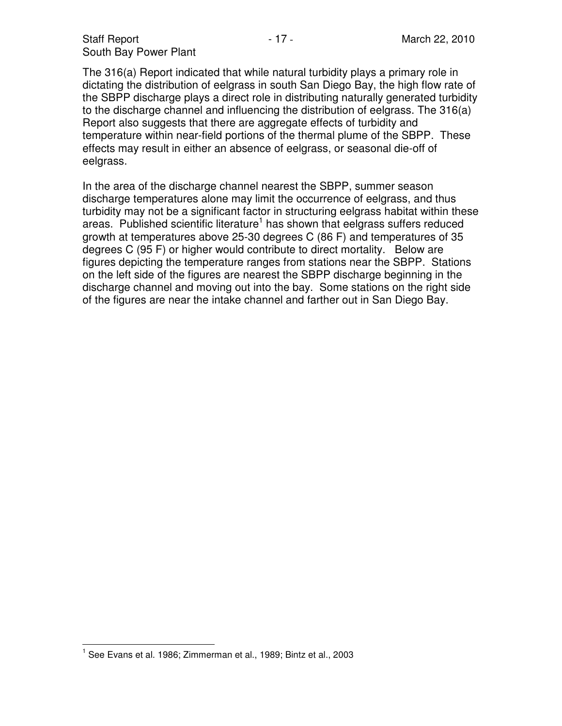The 316(a) Report indicated that while natural turbidity plays a primary role in dictating the distribution of eelgrass in south San Diego Bay, the high flow rate of the SBPP discharge plays a direct role in distributing naturally generated turbidity to the discharge channel and influencing the distribution of eelgrass. The 316(a) Report also suggests that there are aggregate effects of turbidity and temperature within near-field portions of the thermal plume of the SBPP. These effects may result in either an absence of eelgrass, or seasonal die-off of eelgrass.

In the area of the discharge channel nearest the SBPP, summer season discharge temperatures alone may limit the occurrence of eelgrass, and thus turbidity may not be a significant factor in structuring eelgrass habitat within these areas. Published scientific literature<sup>1</sup> has shown that eelgrass suffers reduced growth at temperatures above 25-30 degrees C (86 F) and temperatures of 35 degrees C (95 F) or higher would contribute to direct mortality. Below are figures depicting the temperature ranges from stations near the SBPP. Stations on the left side of the figures are nearest the SBPP discharge beginning in the discharge channel and moving out into the bay. Some stations on the right side of the figures are near the intake channel and farther out in San Diego Bay.

 $\overline{\phantom{a}}$ <sup>1</sup> See Evans et al. 1986; Zimmerman et al., 1989; Bintz et al., 2003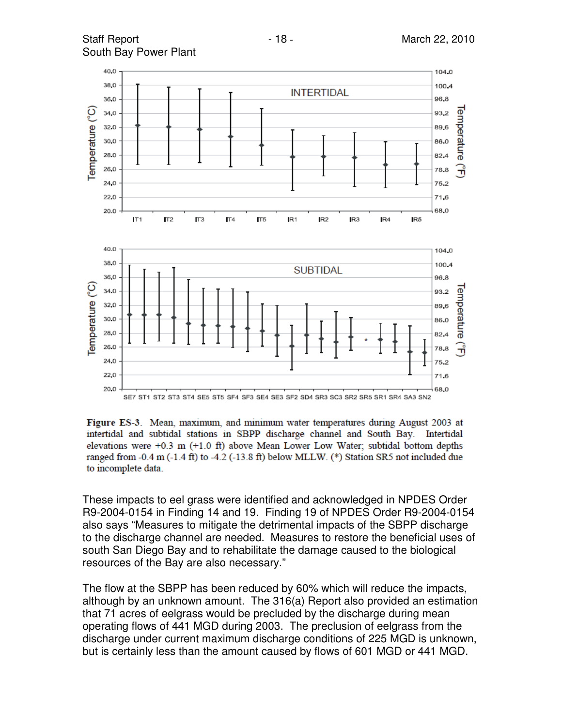

Figure ES-3. Mean, maximum, and minimum water temperatures during August 2003 at intertidal and subtidal stations in SBPP discharge channel and South Bay. Intertidal elevations were  $+0.3$  m  $(+1.0$  ft) above Mean Lower Low Water; subtidal bottom depths ranged from  $-0.4$  m  $(-1.4$  ft) to  $-4.2$  ( $-13.8$  ft) below MLLW. (\*) Station SR5 not included due to incomplete data.

These impacts to eel grass were identified and acknowledged in NPDES Order R9-2004-0154 in Finding 14 and 19. Finding 19 of NPDES Order R9-2004-0154 also says "Measures to mitigate the detrimental impacts of the SBPP discharge to the discharge channel are needed. Measures to restore the beneficial uses of south San Diego Bay and to rehabilitate the damage caused to the biological resources of the Bay are also necessary."

The flow at the SBPP has been reduced by 60% which will reduce the impacts, although by an unknown amount. The 316(a) Report also provided an estimation that 71 acres of eelgrass would be precluded by the discharge during mean operating flows of 441 MGD during 2003. The preclusion of eelgrass from the discharge under current maximum discharge conditions of 225 MGD is unknown, but is certainly less than the amount caused by flows of 601 MGD or 441 MGD.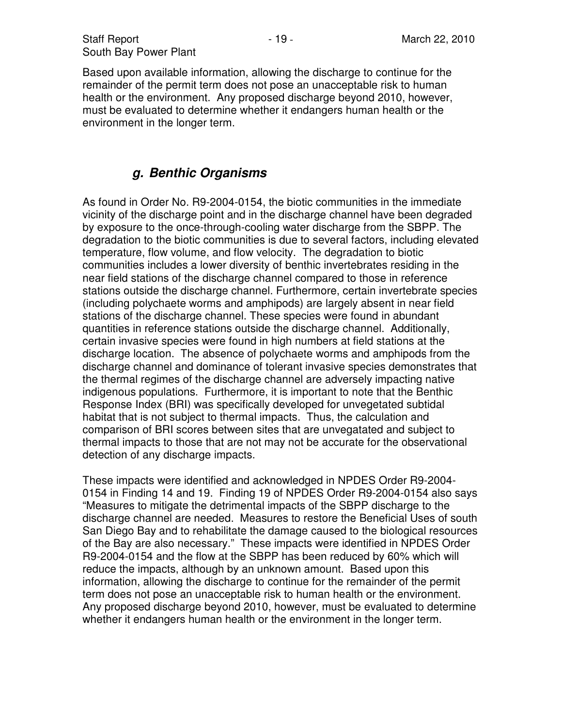Based upon available information, allowing the discharge to continue for the remainder of the permit term does not pose an unacceptable risk to human health or the environment. Any proposed discharge beyond 2010, however, must be evaluated to determine whether it endangers human health or the environment in the longer term.

## **g. Benthic Organisms**

As found in Order No. R9-2004-0154, the biotic communities in the immediate vicinity of the discharge point and in the discharge channel have been degraded by exposure to the once-through-cooling water discharge from the SBPP. The degradation to the biotic communities is due to several factors, including elevated temperature, flow volume, and flow velocity. The degradation to biotic communities includes a lower diversity of benthic invertebrates residing in the near field stations of the discharge channel compared to those in reference stations outside the discharge channel. Furthermore, certain invertebrate species (including polychaete worms and amphipods) are largely absent in near field stations of the discharge channel. These species were found in abundant quantities in reference stations outside the discharge channel. Additionally, certain invasive species were found in high numbers at field stations at the discharge location. The absence of polychaete worms and amphipods from the discharge channel and dominance of tolerant invasive species demonstrates that the thermal regimes of the discharge channel are adversely impacting native indigenous populations. Furthermore, it is important to note that the Benthic Response Index (BRI) was specifically developed for unvegetated subtidal habitat that is not subject to thermal impacts. Thus, the calculation and comparison of BRI scores between sites that are unvegatated and subject to thermal impacts to those that are not may not be accurate for the observational detection of any discharge impacts.

These impacts were identified and acknowledged in NPDES Order R9-2004- 0154 in Finding 14 and 19. Finding 19 of NPDES Order R9-2004-0154 also says "Measures to mitigate the detrimental impacts of the SBPP discharge to the discharge channel are needed. Measures to restore the Beneficial Uses of south San Diego Bay and to rehabilitate the damage caused to the biological resources of the Bay are also necessary." These impacts were identified in NPDES Order R9-2004-0154 and the flow at the SBPP has been reduced by 60% which will reduce the impacts, although by an unknown amount. Based upon this information, allowing the discharge to continue for the remainder of the permit term does not pose an unacceptable risk to human health or the environment. Any proposed discharge beyond 2010, however, must be evaluated to determine whether it endangers human health or the environment in the longer term.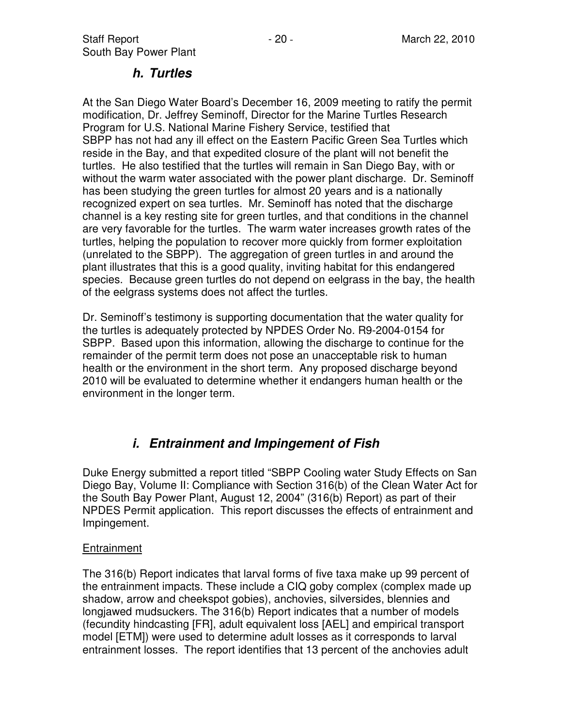#### **h. Turtles**

At the San Diego Water Board's December 16, 2009 meeting to ratify the permit modification, Dr. Jeffrey Seminoff, Director for the Marine Turtles Research Program for U.S. National Marine Fishery Service, testified that SBPP has not had any ill effect on the Eastern Pacific Green Sea Turtles which reside in the Bay, and that expedited closure of the plant will not benefit the turtles. He also testified that the turtles will remain in San Diego Bay, with or without the warm water associated with the power plant discharge. Dr. Seminoff has been studying the green turtles for almost 20 years and is a nationally recognized expert on sea turtles. Mr. Seminoff has noted that the discharge channel is a key resting site for green turtles, and that conditions in the channel are very favorable for the turtles. The warm water increases growth rates of the turtles, helping the population to recover more quickly from former exploitation (unrelated to the SBPP). The aggregation of green turtles in and around the plant illustrates that this is a good quality, inviting habitat for this endangered species. Because green turtles do not depend on eelgrass in the bay, the health of the eelgrass systems does not affect the turtles.

Dr. Seminoff's testimony is supporting documentation that the water quality for the turtles is adequately protected by NPDES Order No. R9-2004-0154 for SBPP. Based upon this information, allowing the discharge to continue for the remainder of the permit term does not pose an unacceptable risk to human health or the environment in the short term. Any proposed discharge beyond 2010 will be evaluated to determine whether it endangers human health or the environment in the longer term.

## **i. Entrainment and Impingement of Fish**

Duke Energy submitted a report titled "SBPP Cooling water Study Effects on San Diego Bay, Volume II: Compliance with Section 316(b) of the Clean Water Act for the South Bay Power Plant, August 12, 2004" (316(b) Report) as part of their NPDES Permit application. This report discusses the effects of entrainment and Impingement.

#### Entrainment

The 316(b) Report indicates that larval forms of five taxa make up 99 percent of the entrainment impacts. These include a CIQ goby complex (complex made up shadow, arrow and cheekspot gobies), anchovies, silversides, blennies and longjawed mudsuckers. The 316(b) Report indicates that a number of models (fecundity hindcasting [FR], adult equivalent loss [AEL] and empirical transport model [ETM]) were used to determine adult losses as it corresponds to larval entrainment losses. The report identifies that 13 percent of the anchovies adult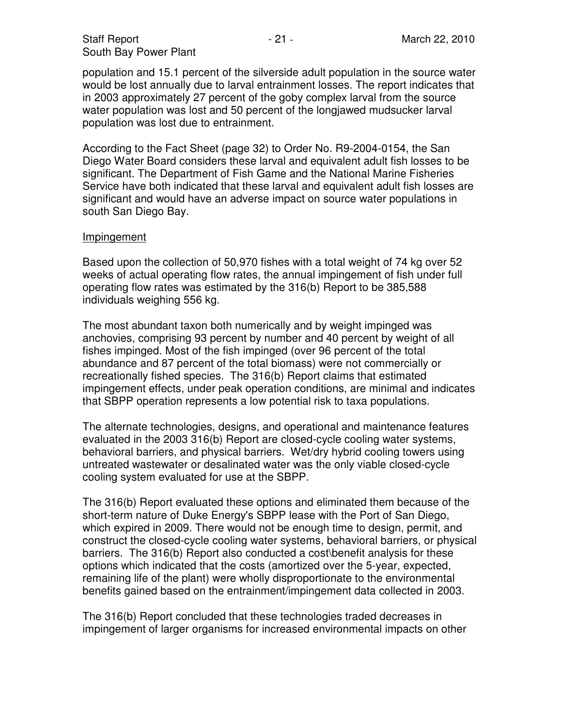population and 15.1 percent of the silverside adult population in the source water would be lost annually due to larval entrainment losses. The report indicates that in 2003 approximately 27 percent of the goby complex larval from the source water population was lost and 50 percent of the longjawed mudsucker larval population was lost due to entrainment.

According to the Fact Sheet (page 32) to Order No. R9-2004-0154, the San Diego Water Board considers these larval and equivalent adult fish losses to be significant. The Department of Fish Game and the National Marine Fisheries Service have both indicated that these larval and equivalent adult fish losses are significant and would have an adverse impact on source water populations in south San Diego Bay.

#### Impingement

Based upon the collection of 50,970 fishes with a total weight of 74 kg over 52 weeks of actual operating flow rates, the annual impingement of fish under full operating flow rates was estimated by the 316(b) Report to be 385,588 individuals weighing 556 kg.

The most abundant taxon both numerically and by weight impinged was anchovies, comprising 93 percent by number and 40 percent by weight of all fishes impinged. Most of the fish impinged (over 96 percent of the total abundance and 87 percent of the total biomass) were not commercially or recreationally fished species. The 316(b) Report claims that estimated impingement effects, under peak operation conditions, are minimal and indicates that SBPP operation represents a low potential risk to taxa populations.

The alternate technologies, designs, and operational and maintenance features evaluated in the 2003 316(b) Report are closed-cycle cooling water systems, behavioral barriers, and physical barriers. Wet/dry hybrid cooling towers using untreated wastewater or desalinated water was the only viable closed-cycle cooling system evaluated for use at the SBPP.

The 316(b) Report evaluated these options and eliminated them because of the short-term nature of Duke Energy's SBPP lease with the Port of San Diego, which expired in 2009. There would not be enough time to design, permit, and construct the closed-cycle cooling water systems, behavioral barriers, or physical barriers. The 316(b) Report also conducted a cost\benefit analysis for these options which indicated that the costs (amortized over the 5-year, expected, remaining life of the plant) were wholly disproportionate to the environmental benefits gained based on the entrainment/impingement data collected in 2003.

The 316(b) Report concluded that these technologies traded decreases in impingement of larger organisms for increased environmental impacts on other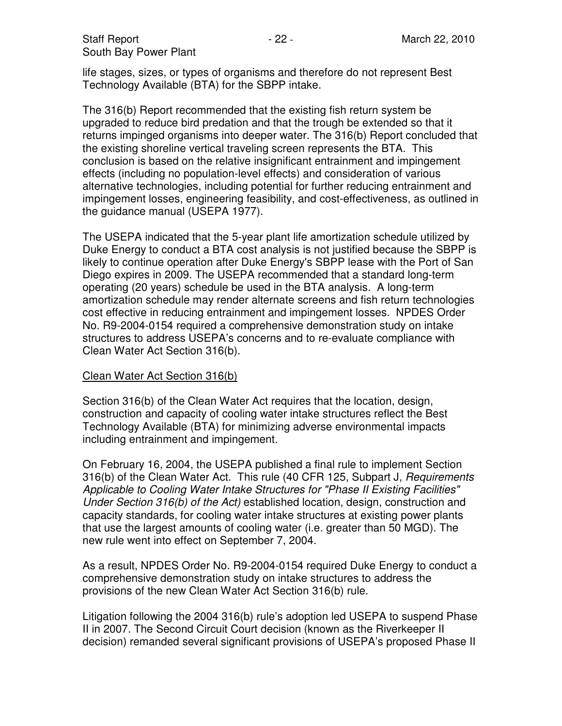Staff Report **- 22 - March 22, 2010** South Bay Power Plant

life stages, sizes, or types of organisms and therefore do not represent Best Technology Available (BTA) for the SBPP intake.

The 316(b) Report recommended that the existing fish return system be upgraded to reduce bird predation and that the trough be extended so that it returns impinged organisms into deeper water. The 316(b) Report concluded that the existing shoreline vertical traveling screen represents the BTA. This conclusion is based on the relative insignificant entrainment and impingement effects (including no population-level effects) and consideration of various alternative technologies, including potential for further reducing entrainment and impingement losses, engineering feasibility, and cost-effectiveness, as outlined in the guidance manual (USEPA 1977).

The USEPA indicated that the 5-year plant life amortization schedule utilized by Duke Energy to conduct a BTA cost analysis is not justified because the SBPP is likely to continue operation after Duke Energy's SBPP lease with the Port of San Diego expires in 2009. The USEPA recommended that a standard long-term operating (20 years) schedule be used in the BTA analysis. A long-term amortization schedule may render alternate screens and fish return technologies cost effective in reducing entrainment and impingement losses. NPDES Order No. R9-2004-0154 required a comprehensive demonstration study on intake structures to address USEPA's concerns and to re-evaluate compliance with Clean Water Act Section 316(b).

#### Clean Water Act Section 316(b)

Section 316(b) of the Clean Water Act requires that the location, design, construction and capacity of cooling water intake structures reflect the Best Technology Available (BTA) for minimizing adverse environmental impacts including entrainment and impingement.

On February 16, 2004, the USEPA published a final rule to implement Section 316(b) of the Clean Water Act. This rule (40 CFR 125, Subpart J, Requirements Applicable to Cooling Water Intake Structures for "Phase II Existing Facilities" Under Section 316(b) of the Act) established location, design, construction and capacity standards, for cooling water intake structures at existing power plants that use the largest amounts of cooling water (i.e. greater than 50 MGD). The new rule went into effect on September 7, 2004.

As a result, NPDES Order No. R9-2004-0154 required Duke Energy to conduct a comprehensive demonstration study on intake structures to address the provisions of the new Clean Water Act Section 316(b) rule.

Litigation following the 2004 316(b) rule's adoption led USEPA to suspend Phase II in 2007. The Second Circuit Court decision (known as the Riverkeeper II decision) remanded several significant provisions of USEPA's proposed Phase II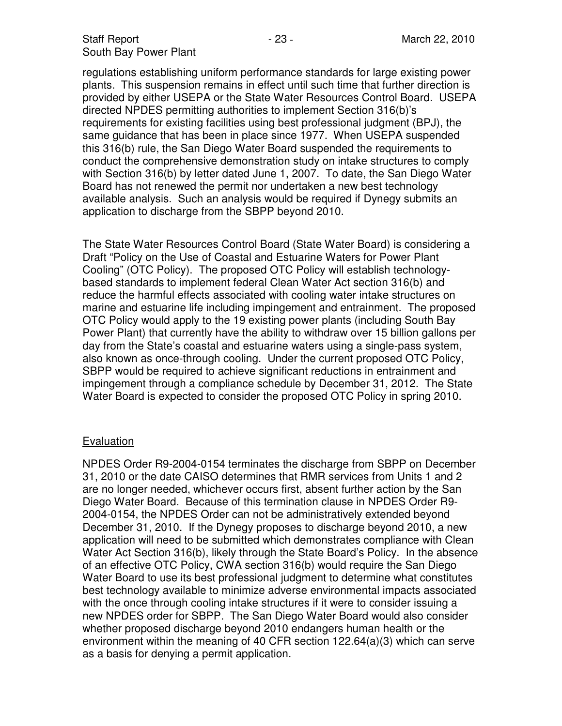regulations establishing uniform performance standards for large existing power plants. This suspension remains in effect until such time that further direction is provided by either USEPA or the State Water Resources Control Board. USEPA directed NPDES permitting authorities to implement Section 316(b)'s requirements for existing facilities using best professional judgment (BPJ), the same guidance that has been in place since 1977. When USEPA suspended this 316(b) rule, the San Diego Water Board suspended the requirements to conduct the comprehensive demonstration study on intake structures to comply with Section 316(b) by letter dated June 1, 2007. To date, the San Diego Water Board has not renewed the permit nor undertaken a new best technology available analysis. Such an analysis would be required if Dynegy submits an application to discharge from the SBPP beyond 2010.

The State Water Resources Control Board (State Water Board) is considering a Draft "Policy on the Use of Coastal and Estuarine Waters for Power Plant Cooling" (OTC Policy). The proposed OTC Policy will establish technologybased standards to implement federal Clean Water Act section 316(b) and reduce the harmful effects associated with cooling water intake structures on marine and estuarine life including impingement and entrainment. The proposed OTC Policy would apply to the 19 existing power plants (including South Bay Power Plant) that currently have the ability to withdraw over 15 billion gallons per day from the State's coastal and estuarine waters using a single-pass system, also known as once-through cooling. Under the current proposed OTC Policy, SBPP would be required to achieve significant reductions in entrainment and impingement through a compliance schedule by December 31, 2012. The State Water Board is expected to consider the proposed OTC Policy in spring 2010.

#### Evaluation

NPDES Order R9-2004-0154 terminates the discharge from SBPP on December 31, 2010 or the date CAISO determines that RMR services from Units 1 and 2 are no longer needed, whichever occurs first, absent further action by the San Diego Water Board. Because of this termination clause in NPDES Order R9- 2004-0154, the NPDES Order can not be administratively extended beyond December 31, 2010. If the Dynegy proposes to discharge beyond 2010, a new application will need to be submitted which demonstrates compliance with Clean Water Act Section 316(b), likely through the State Board's Policy. In the absence of an effective OTC Policy, CWA section 316(b) would require the San Diego Water Board to use its best professional judgment to determine what constitutes best technology available to minimize adverse environmental impacts associated with the once through cooling intake structures if it were to consider issuing a new NPDES order for SBPP. The San Diego Water Board would also consider whether proposed discharge beyond 2010 endangers human health or the environment within the meaning of 40 CFR section 122.64(a)(3) which can serve as a basis for denying a permit application.